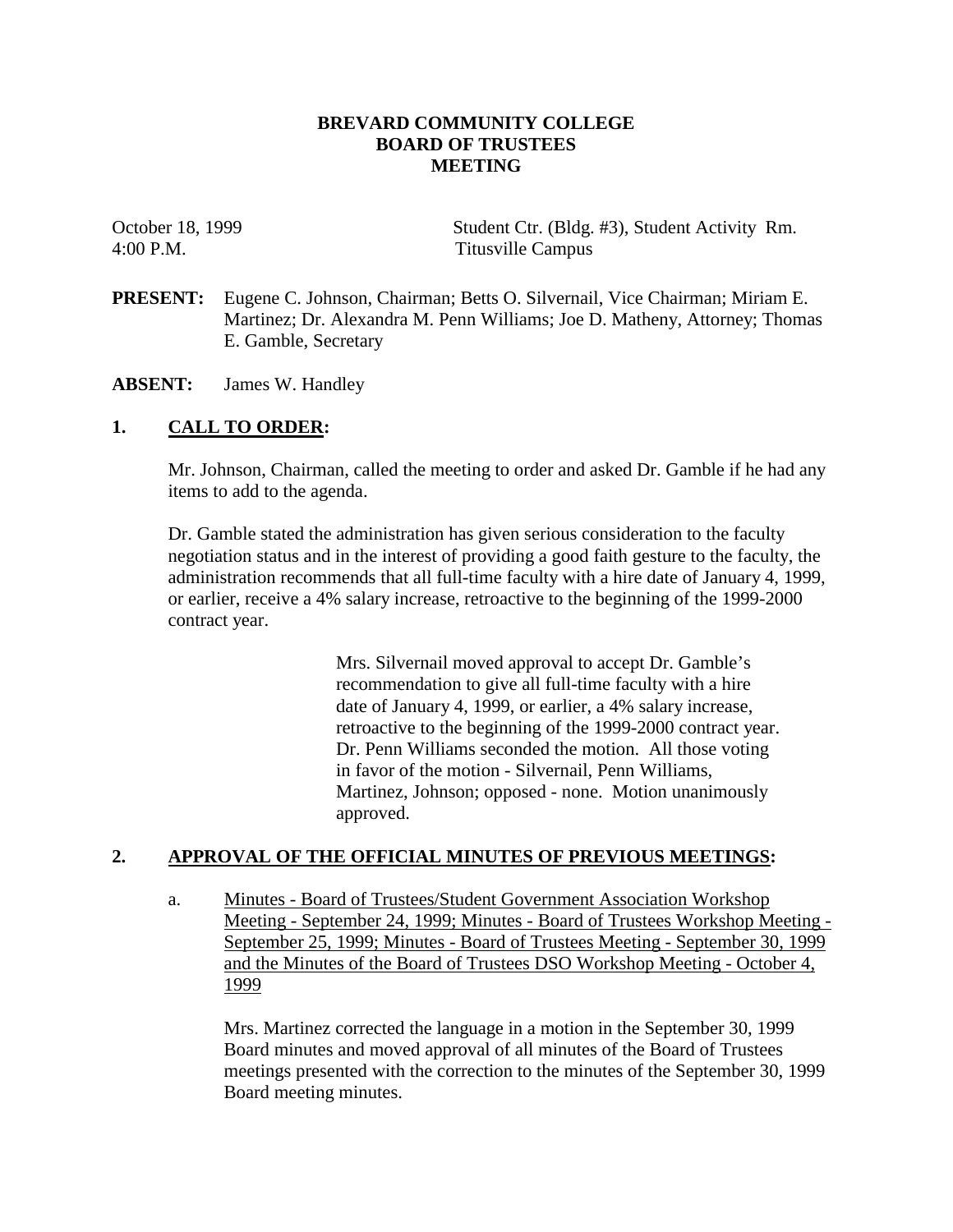### **BREVARD COMMUNITY COLLEGE BOARD OF TRUSTEES MEETING**

October 18, 1999 Student Ctr. (Bldg. #3), Student Activity Rm. 4:00 P.M. Titusville Campus

- **PRESENT:** Eugene C. Johnson, Chairman; Betts O. Silvernail, Vice Chairman; Miriam E. Martinez; Dr. Alexandra M. Penn Williams; Joe D. Matheny, Attorney; Thomas E. Gamble, Secretary
- **ABSENT:** James W. Handley

# **1. CALL TO ORDER:**

Mr. Johnson, Chairman, called the meeting to order and asked Dr. Gamble if he had any items to add to the agenda.

Dr. Gamble stated the administration has given serious consideration to the faculty negotiation status and in the interest of providing a good faith gesture to the faculty, the administration recommends that all full-time faculty with a hire date of January 4, 1999, or earlier, receive a 4% salary increase, retroactive to the beginning of the 1999-2000 contract year.

> Mrs. Silvernail moved approval to accept Dr. Gamble's recommendation to give all full-time faculty with a hire date of January 4, 1999, or earlier, a 4% salary increase, retroactive to the beginning of the 1999-2000 contract year. Dr. Penn Williams seconded the motion. All those voting in favor of the motion - Silvernail, Penn Williams, Martinez, Johnson; opposed - none. Motion unanimously approved.

### **2. APPROVAL OF THE OFFICIAL MINUTES OF PREVIOUS MEETINGS:**

a. Minutes - Board of Trustees/Student Government Association Workshop Meeting - September 24, 1999; Minutes - Board of Trustees Workshop Meeting - September 25, 1999; Minutes - Board of Trustees Meeting - September 30, 1999 and the Minutes of the Board of Trustees DSO Workshop Meeting - October 4, 1999

Mrs. Martinez corrected the language in a motion in the September 30, 1999 Board minutes and moved approval of all minutes of the Board of Trustees meetings presented with the correction to the minutes of the September 30, 1999 Board meeting minutes.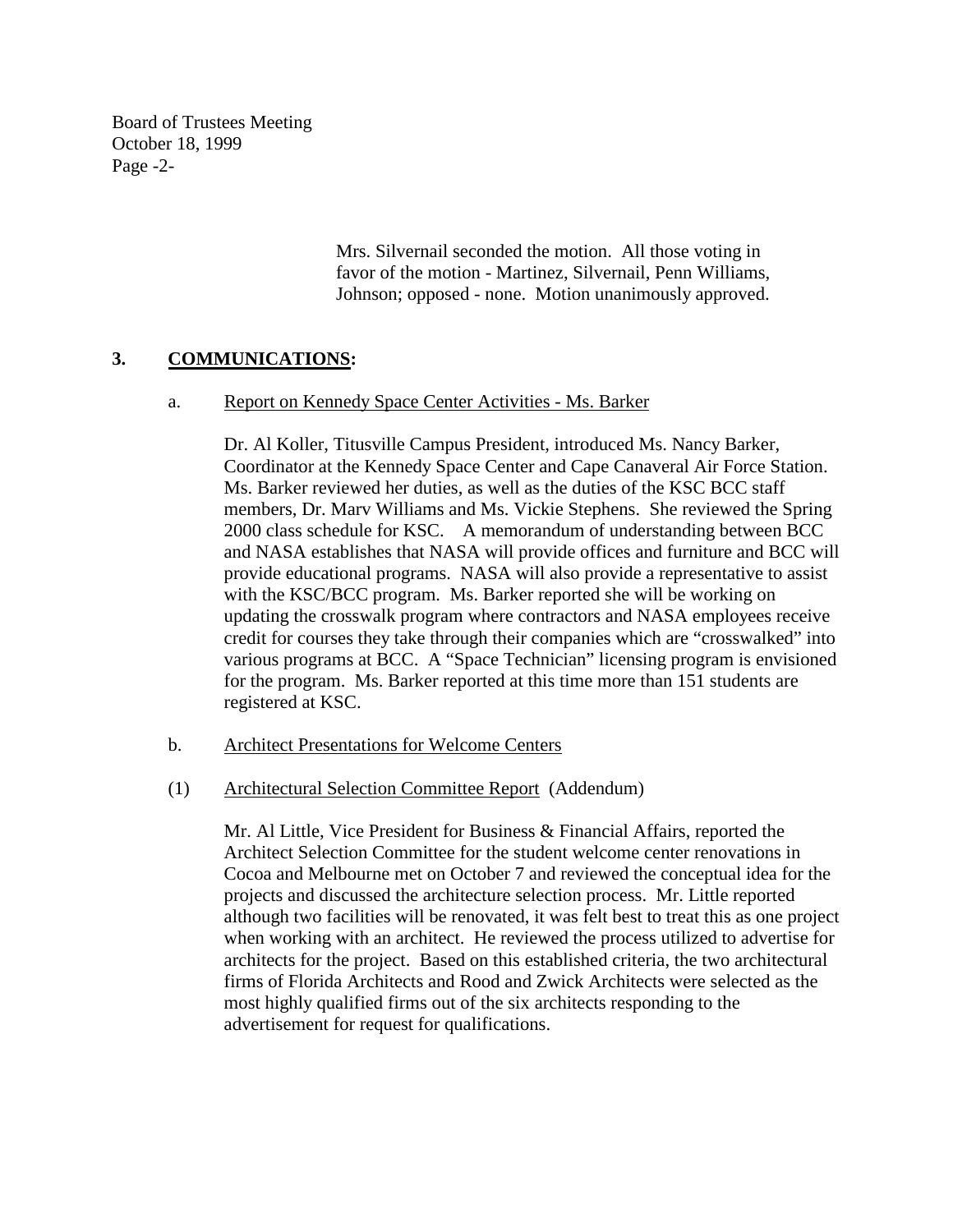Board of Trustees Meeting October 18, 1999 Page -2-

> Mrs. Silvernail seconded the motion. All those voting in favor of the motion - Martinez, Silvernail, Penn Williams, Johnson; opposed - none. Motion unanimously approved.

# **3. COMMUNICATIONS:**

a. Report on Kennedy Space Center Activities - Ms. Barker

Dr. Al Koller, Titusville Campus President, introduced Ms. Nancy Barker, Coordinator at the Kennedy Space Center and Cape Canaveral Air Force Station. Ms. Barker reviewed her duties, as well as the duties of the KSC BCC staff members, Dr. Marv Williams and Ms. Vickie Stephens. She reviewed the Spring 2000 class schedule for KSC. A memorandum of understanding between BCC and NASA establishes that NASA will provide offices and furniture and BCC will provide educational programs. NASA will also provide a representative to assist with the KSC/BCC program. Ms. Barker reported she will be working on updating the crosswalk program where contractors and NASA employees receive credit for courses they take through their companies which are "crosswalked" into various programs at BCC. A "Space Technician" licensing program is envisioned for the program. Ms. Barker reported at this time more than 151 students are registered at KSC.

- b. Architect Presentations for Welcome Centers
- (1) Architectural Selection Committee Report (Addendum)

Mr. Al Little, Vice President for Business & Financial Affairs, reported the Architect Selection Committee for the student welcome center renovations in Cocoa and Melbourne met on October 7 and reviewed the conceptual idea for the projects and discussed the architecture selection process. Mr. Little reported although two facilities will be renovated, it was felt best to treat this as one project when working with an architect. He reviewed the process utilized to advertise for architects for the project. Based on this established criteria, the two architectural firms of Florida Architects and Rood and Zwick Architects were selected as the most highly qualified firms out of the six architects responding to the advertisement for request for qualifications.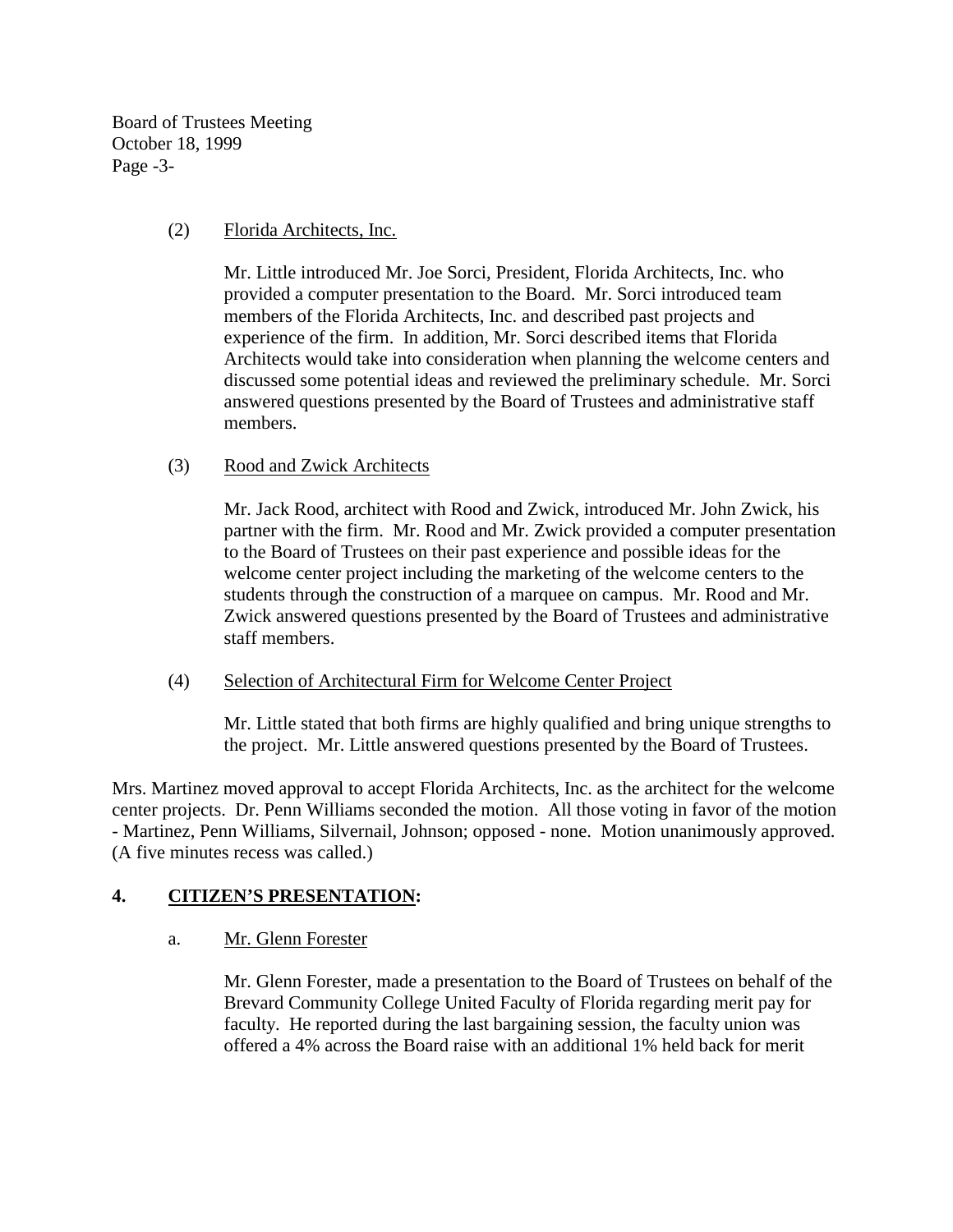Board of Trustees Meeting October 18, 1999 Page -3-

## (2) Florida Architects, Inc.

Mr. Little introduced Mr. Joe Sorci, President, Florida Architects, Inc. who provided a computer presentation to the Board. Mr. Sorci introduced team members of the Florida Architects, Inc. and described past projects and experience of the firm. In addition, Mr. Sorci described items that Florida Architects would take into consideration when planning the welcome centers and discussed some potential ideas and reviewed the preliminary schedule. Mr. Sorci answered questions presented by the Board of Trustees and administrative staff members.

## (3) Rood and Zwick Architects

Mr. Jack Rood, architect with Rood and Zwick, introduced Mr. John Zwick, his partner with the firm. Mr. Rood and Mr. Zwick provided a computer presentation to the Board of Trustees on their past experience and possible ideas for the welcome center project including the marketing of the welcome centers to the students through the construction of a marquee on campus. Mr. Rood and Mr. Zwick answered questions presented by the Board of Trustees and administrative staff members.

### (4) Selection of Architectural Firm for Welcome Center Project

Mr. Little stated that both firms are highly qualified and bring unique strengths to the project. Mr. Little answered questions presented by the Board of Trustees.

Mrs. Martinez moved approval to accept Florida Architects, Inc. as the architect for the welcome center projects. Dr. Penn Williams seconded the motion. All those voting in favor of the motion - Martinez, Penn Williams, Silvernail, Johnson; opposed - none. Motion unanimously approved. (A five minutes recess was called.)

# **4. CITIZEN'S PRESENTATION:**

# a. Mr. Glenn Forester

Mr. Glenn Forester, made a presentation to the Board of Trustees on behalf of the Brevard Community College United Faculty of Florida regarding merit pay for faculty. He reported during the last bargaining session, the faculty union was offered a 4% across the Board raise with an additional 1% held back for merit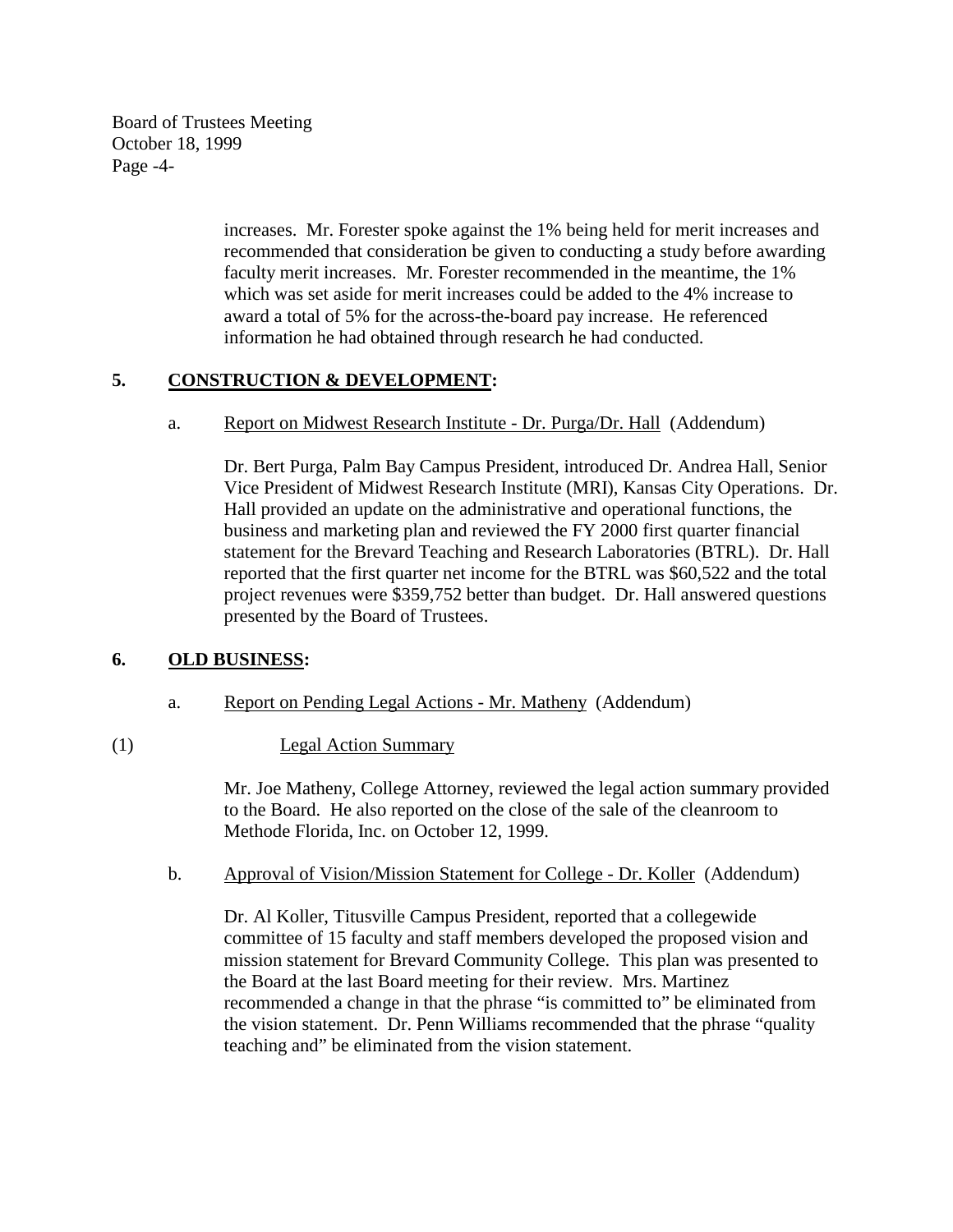Board of Trustees Meeting October 18, 1999 Page -4-

> increases. Mr. Forester spoke against the 1% being held for merit increases and recommended that consideration be given to conducting a study before awarding faculty merit increases. Mr. Forester recommended in the meantime, the 1% which was set aside for merit increases could be added to the 4% increase to award a total of 5% for the across-the-board pay increase. He referenced information he had obtained through research he had conducted.

# **5. CONSTRUCTION & DEVELOPMENT:**

a. Report on Midwest Research Institute - Dr. Purga/Dr. Hall (Addendum)

Dr. Bert Purga, Palm Bay Campus President, introduced Dr. Andrea Hall, Senior Vice President of Midwest Research Institute (MRI), Kansas City Operations. Dr. Hall provided an update on the administrative and operational functions, the business and marketing plan and reviewed the FY 2000 first quarter financial statement for the Brevard Teaching and Research Laboratories (BTRL). Dr. Hall reported that the first quarter net income for the BTRL was \$60,522 and the total project revenues were \$359,752 better than budget. Dr. Hall answered questions presented by the Board of Trustees.

# **6. OLD BUSINESS:**

a. Report on Pending Legal Actions - Mr. Matheny (Addendum)

# (1) Legal Action Summary

 Mr. Joe Matheny, College Attorney, reviewed the legal action summary provided to the Board. He also reported on the close of the sale of the cleanroom to Methode Florida, Inc. on October 12, 1999.

b. Approval of Vision/Mission Statement for College - Dr. Koller (Addendum)

Dr. Al Koller, Titusville Campus President, reported that a collegewide committee of 15 faculty and staff members developed the proposed vision and mission statement for Brevard Community College. This plan was presented to the Board at the last Board meeting for their review. Mrs. Martinez recommended a change in that the phrase "is committed to" be eliminated from the vision statement. Dr. Penn Williams recommended that the phrase "quality teaching and" be eliminated from the vision statement.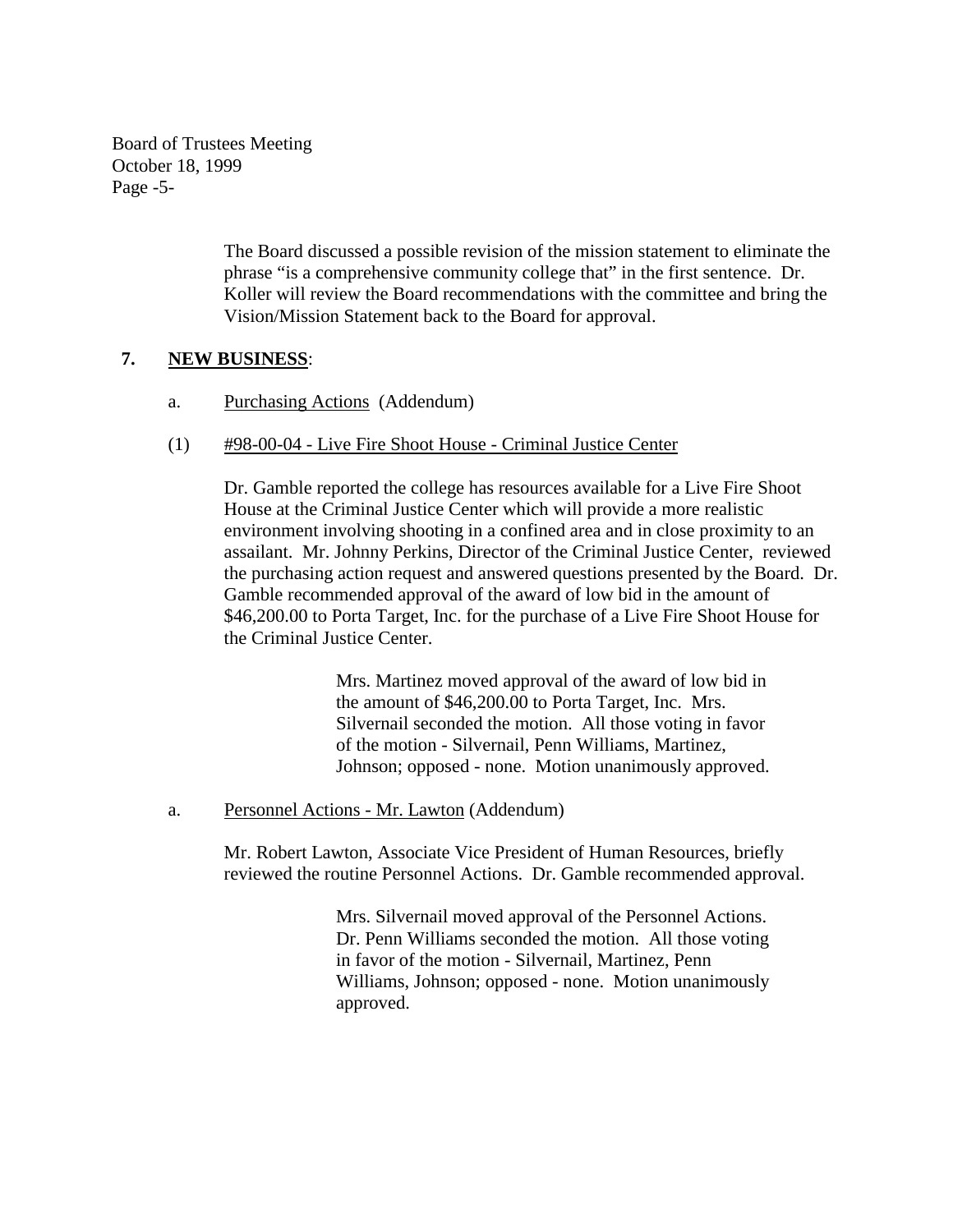Board of Trustees Meeting October 18, 1999 Page -5-

> The Board discussed a possible revision of the mission statement to eliminate the phrase "is a comprehensive community college that" in the first sentence. Dr. Koller will review the Board recommendations with the committee and bring the Vision/Mission Statement back to the Board for approval.

## **7. NEW BUSINESS**:

- a. Purchasing Actions (Addendum)
- (1) #98-00-04 Live Fire Shoot House Criminal Justice Center

Dr. Gamble reported the college has resources available for a Live Fire Shoot House at the Criminal Justice Center which will provide a more realistic environment involving shooting in a confined area and in close proximity to an assailant. Mr. Johnny Perkins, Director of the Criminal Justice Center, reviewed the purchasing action request and answered questions presented by the Board. Dr. Gamble recommended approval of the award of low bid in the amount of \$46,200.00 to Porta Target, Inc. for the purchase of a Live Fire Shoot House for the Criminal Justice Center.

> Mrs. Martinez moved approval of the award of low bid in the amount of \$46,200.00 to Porta Target, Inc. Mrs. Silvernail seconded the motion. All those voting in favor of the motion - Silvernail, Penn Williams, Martinez, Johnson; opposed - none. Motion unanimously approved.

a. Personnel Actions - Mr. Lawton (Addendum)

Mr. Robert Lawton, Associate Vice President of Human Resources, briefly reviewed the routine Personnel Actions. Dr. Gamble recommended approval.

> Mrs. Silvernail moved approval of the Personnel Actions. Dr. Penn Williams seconded the motion. All those voting in favor of the motion - Silvernail, Martinez, Penn Williams, Johnson; opposed - none. Motion unanimously approved.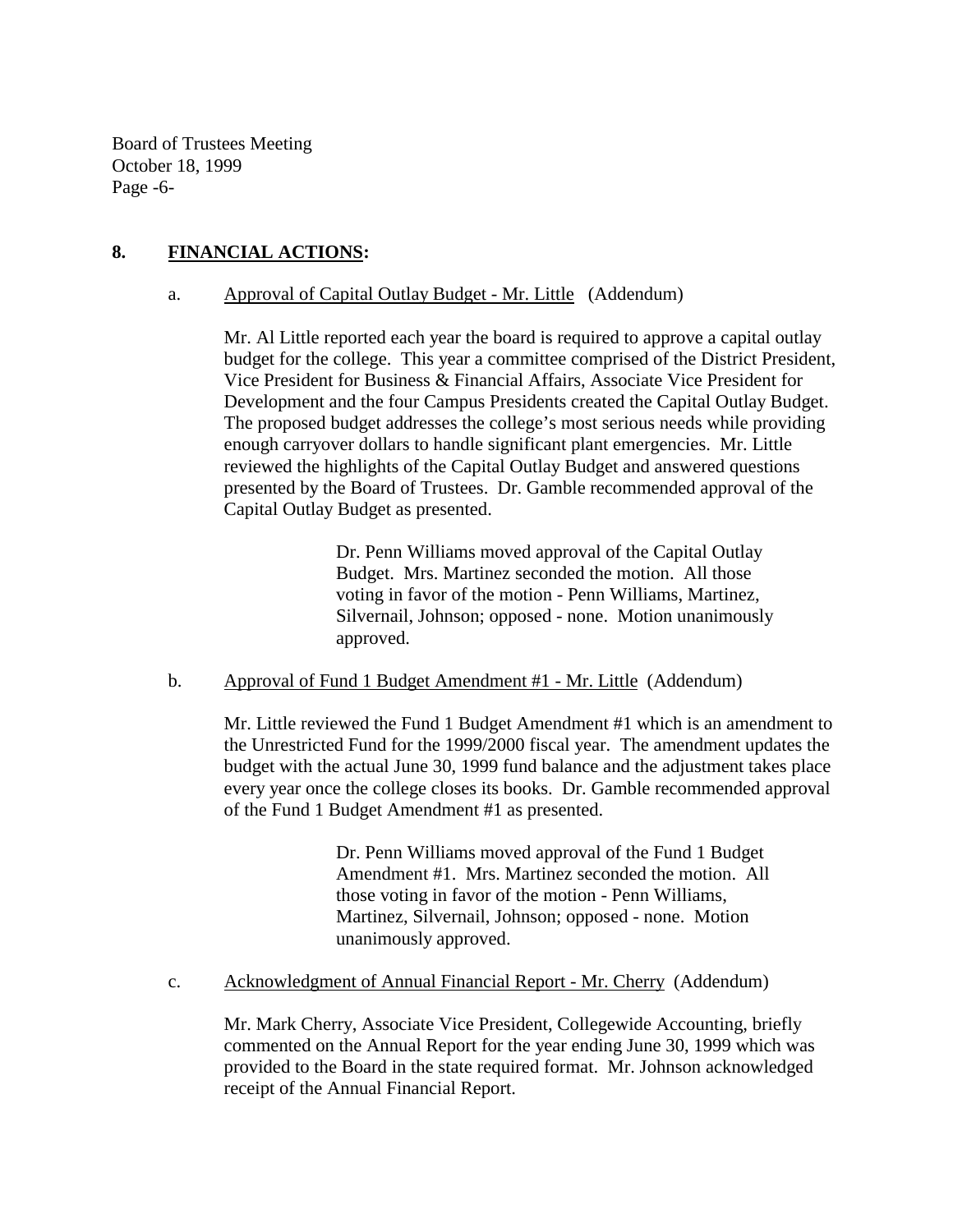Board of Trustees Meeting October 18, 1999 Page -6-

## **8. FINANCIAL ACTIONS:**

#### a. Approval of Capital Outlay Budget - Mr. Little (Addendum)

Mr. Al Little reported each year the board is required to approve a capital outlay budget for the college. This year a committee comprised of the District President, Vice President for Business & Financial Affairs, Associate Vice President for Development and the four Campus Presidents created the Capital Outlay Budget. The proposed budget addresses the college's most serious needs while providing enough carryover dollars to handle significant plant emergencies. Mr. Little reviewed the highlights of the Capital Outlay Budget and answered questions presented by the Board of Trustees. Dr. Gamble recommended approval of the Capital Outlay Budget as presented.

> Dr. Penn Williams moved approval of the Capital Outlay Budget. Mrs. Martinez seconded the motion. All those voting in favor of the motion - Penn Williams, Martinez, Silvernail, Johnson; opposed - none. Motion unanimously approved.

#### b. Approval of Fund 1 Budget Amendment #1 - Mr. Little (Addendum)

Mr. Little reviewed the Fund 1 Budget Amendment #1 which is an amendment to the Unrestricted Fund for the 1999/2000 fiscal year. The amendment updates the budget with the actual June 30, 1999 fund balance and the adjustment takes place every year once the college closes its books. Dr. Gamble recommended approval of the Fund 1 Budget Amendment #1 as presented.

> Dr. Penn Williams moved approval of the Fund 1 Budget Amendment #1. Mrs. Martinez seconded the motion. All those voting in favor of the motion - Penn Williams, Martinez, Silvernail, Johnson; opposed - none. Motion unanimously approved.

#### c. Acknowledgment of Annual Financial Report - Mr. Cherry (Addendum)

 Mr. Mark Cherry, Associate Vice President, Collegewide Accounting, briefly commented on the Annual Report for the year ending June 30, 1999 which was provided to the Board in the state required format. Mr. Johnson acknowledged receipt of the Annual Financial Report.